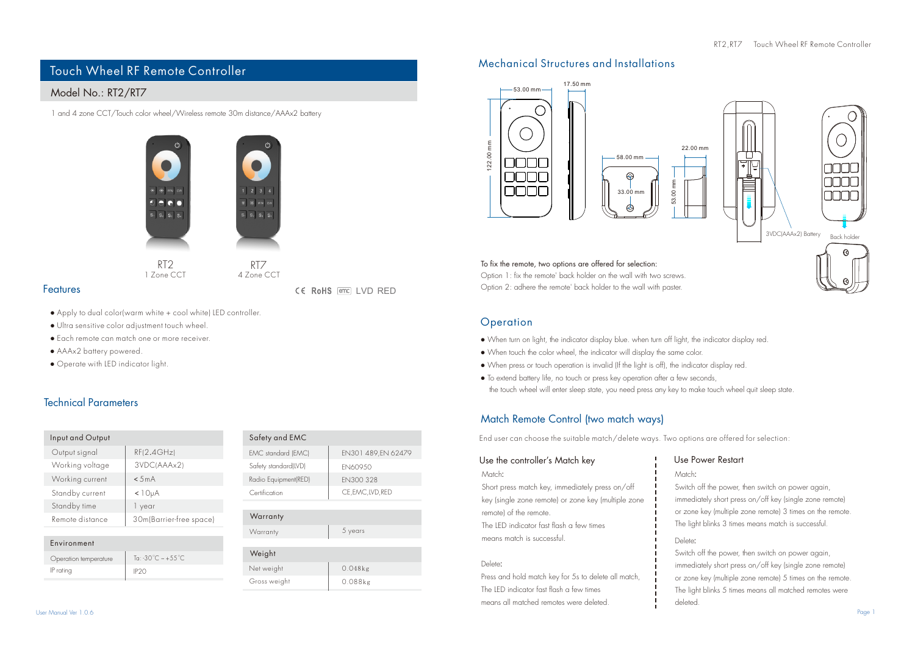# Touch Wheel RF Remote Controller

# Model No.: RT2/RT7

1 and 4 zone CCT/Touch color wheel/Wireless remote 30m distance/AAAx2 battery



1 Zone CCT 4 Zone CCT

 $W$ 

Gross weight  $N_{\ell}$ 

CE RoHS FED LVD RED

- Apply to dual color(warm white + cool white) LED controller.
- Ultra sensitive color adjustment touch wheel.
- Each remote can match one or more receiver.
- AAAx2 battery powered.

Features

● Operate with LED indicator light.

## Technical Parameters

| Input and Output |                         |
|------------------|-------------------------|
| Output signal    | RF(2.4GHz)              |
| Working voltage  | 3VDC(AAAx2)             |
| Working current  | < 5mA                   |
| Standby current  | $<$ 10 $\mu$ A          |
| Standby time     | 1 year                  |
| Remote distance  | 30m(Barrier-free space) |

| Environment           |                                       |
|-----------------------|---------------------------------------|
| Operation temperature | Ta: -30 $\degree$ C ~ +55 $\degree$ C |
| IP rating             | IP <sub>20</sub>                      |

| Safety and EMC       |                    |
|----------------------|--------------------|
| EMC standard (EMC)   | EN301 489.EN 62479 |
| Safety standard(LVD) | FN609.50           |
| Radio Equipment(RED) | FN300 328          |
| Certification        | CE, EMC, LVD, RED  |
|                      |                    |

# **Warranty** Warranty 5 years

| eight      |            |
|------------|------------|
| t weight   | $0.048$ kg |
| oss weight | $0.088$ kg |
|            |            |

## Mechanical Structures and Installations



To fix the remote, two options are offered for selection: Option 1: fix the remote' back holder on the wall with two screws.

Option 2: adhere the remote' back holder to the wall with paster.

#### **Operation**

122.00 mm

- When turn on light, the indicator display blue. when turn off light, the indicator display red.
- When touch the color wheel, the indicator will display the same color.
- When press or touch operation is invalid (If the light is off), the indicator display red.
- To extend battery life, no touch or press key operation after a few seconds, the touch wheel will enter sleep state, you need press any key to make touch wheel quit sleep state.

# Match Remote Control (two match ways)

End user can choose the suitable match/delete ways. Two options are offered for selection:

#### Use the controller's Match key Match:

Short press match key, immediately press on/off key (single zone remote) or zone key (multiple zone remote) of the remote. The LED indicator fast flash a few times means match is successful.

#### Delete:

Press and hold match key for 5s to delete all match, The LED indicator fast flash a few times means all matched remotes were deleted.

# Use Power Restart

Match:

Switch off the power, then switch on power again, immediately short press on/off key (single zone remote) or zone key (multiple zone remote) 3 times on the remote. The light blinks 3 times means match is successful.

### Delete:

. Switch off the power, then switch on power again, immediately short press on/off key (single zone remote) or zone key (multiple zone remote) 5 times on the remote. The light blinks 5 times means all matched remotes were deleted.